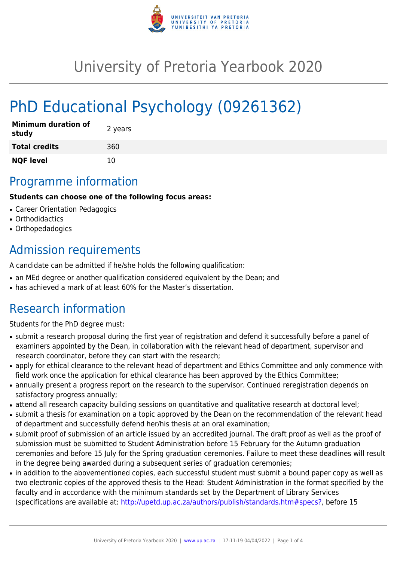

# University of Pretoria Yearbook 2020

# PhD Educational Psychology (09261362)

| <b>Minimum duration of</b><br>study | 2 years |
|-------------------------------------|---------|
| <b>Total credits</b>                | 360     |
| <b>NQF level</b>                    | 10      |

# Programme information

#### **Students can choose one of the following focus areas:**

- Career Orientation Pedagogics
- Orthodidactics
- Orthopedadogics

# Admission requirements

A candidate can be admitted if he/she holds the following qualification:

- an MEd degree or another qualification considered equivalent by the Dean; and
- has achieved a mark of at least 60% for the Master's dissertation.

# Research information

Students for the PhD degree must:

- submit a research proposal during the first year of registration and defend it successfully before a panel of examiners appointed by the Dean, in collaboration with the relevant head of department, supervisor and research coordinator, before they can start with the research;
- apply for ethical clearance to the relevant head of department and Ethics Committee and only commence with field work once the application for ethical clearance has been approved by the Ethics Committee;
- annually present a progress report on the research to the supervisor. Continued reregistration depends on satisfactory progress annually;
- attend all research capacity building sessions on quantitative and qualitative research at doctoral level;
- submit a thesis for examination on a topic approved by the Dean on the recommendation of the relevant head of department and successfully defend her/his thesis at an oral examination;
- submit proof of submission of an article issued by an accredited journal. The draft proof as well as the proof of submission must be submitted to Student Administration before 15 February for the Autumn graduation ceremonies and before 15 July for the Spring graduation ceremonies. Failure to meet these deadlines will result in the degree being awarded during a subsequent series of graduation ceremonies;
- in addition to the abovementioned copies, each successful student must submit a bound paper copy as well as two electronic copies of the approved thesis to the Head: Student Administration in the format specified by the faculty and in accordance with the minimum standards set by the Department of Library Services (specifications are available at: [http://upetd.up.ac.za/authors/publish/standards.htm#specs?,](http://upetd.up.ac.za/authors/publish/standards.htm#specs) before 15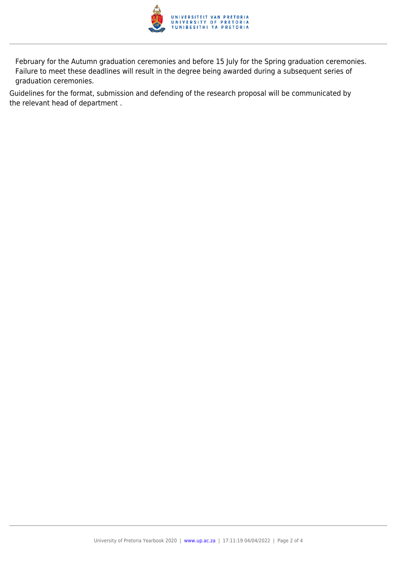

February for the Autumn graduation ceremonies and before 15 July for the Spring graduation ceremonies. Failure to meet these deadlines will result in the degree being awarded during a subsequent series of graduation ceremonies.

Guidelines for the format, submission and defending of the research proposal will be communicated by the relevant head of department .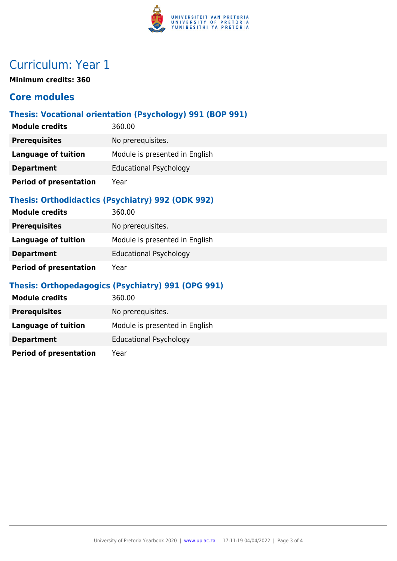

# Curriculum: Year 1

**Minimum credits: 360**

### **Core modules**

### **Thesis: Vocational orientation (Psychology) 991 (BOP 991)**

| <b>Module credits</b>         | 360.00                         |
|-------------------------------|--------------------------------|
| <b>Prerequisites</b>          | No prerequisites.              |
| <b>Language of tuition</b>    | Module is presented in English |
| <b>Department</b>             | <b>Educational Psychology</b>  |
| <b>Period of presentation</b> | Year                           |

### **Thesis: Orthodidactics (Psychiatry) 992 (ODK 992)**

| <b>Module credits</b>         | 360.00                         |
|-------------------------------|--------------------------------|
| <b>Prerequisites</b>          | No prerequisites.              |
| Language of tuition           | Module is presented in English |
| <b>Department</b>             | <b>Educational Psychology</b>  |
| <b>Period of presentation</b> | Year                           |

### **Thesis: Orthopedagogics (Psychiatry) 991 (OPG 991)**

| <b>Module credits</b>         | 360.00                         |
|-------------------------------|--------------------------------|
| <b>Prerequisites</b>          | No prerequisites.              |
| <b>Language of tuition</b>    | Module is presented in English |
| <b>Department</b>             | <b>Educational Psychology</b>  |
| <b>Period of presentation</b> | Year                           |